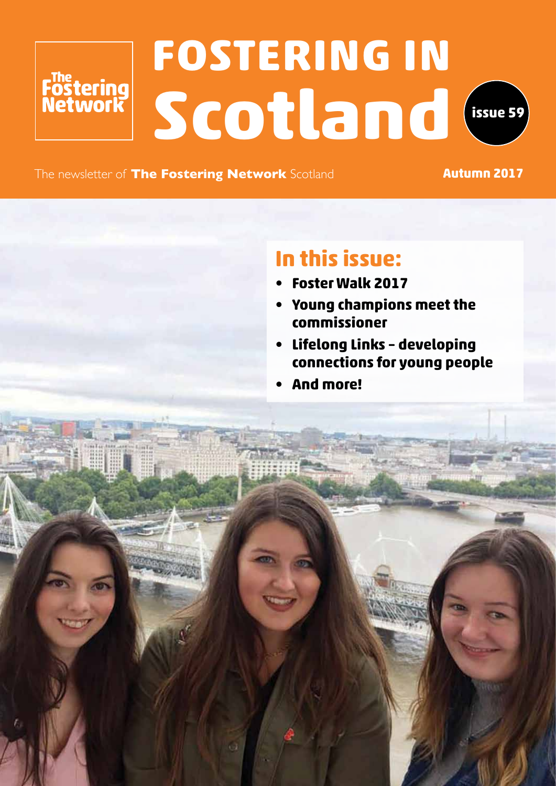# **FOSTERING IN** Föstering<br>Network<br>SCOLLand
<sup>issue 59</sup>



The newsletter of **The Fostering Network** Scotland **Autumn 2017** 

### **In this issue:**

- **• Foster Walk 2017**
- **• Young champions meet the commissioner**
- **• Lifelong Links developing connections for young people**
- **• And more!**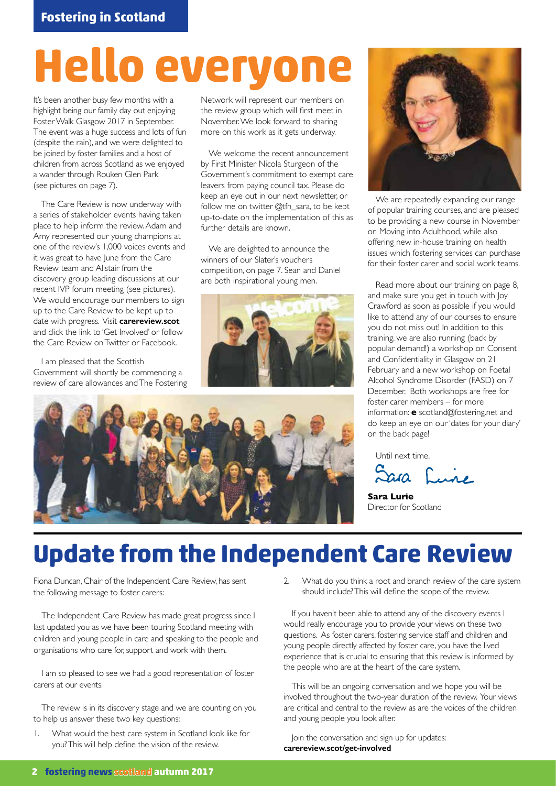# **Hello everyo**

It's been another busy few months with a highlight being our family day out enjoying Foster Walk Glasgow 2017 in September. The event was a huge success and lots of fun (despite the rain), and we were delighted to be joined by foster families and a host of children from across Scotland as we enjoyed a wander through Rouken Glen Park (see pictures on page 7).

The Care Review is now underway with a series of stakeholder events having taken place to help inform the review. Adam and Amy represented our young champions at one of the review's 1,000 voices events and it was great to have June from the Care Review team and Alistair from the discovery group leading discussions at our recent IVP forum meeting (see pictures). We would encourage our members to sign up to the Care Review to be kept up to date with progress. Visit **carereview.scot** and click the link to 'Get Involved' or follow the Care Review on Twitter or Facebook.

I am pleased that the Scottish Government will shortly be commencing a review of care allowances and The Fostering Network will represent our members on the review group which will first meet in November. We look forward to sharing more on this work as it gets underway.

We welcome the recent announcement by First Minister Nicola Sturgeon of the Government's commitment to exempt care leavers from paying council tax. Please do keep an eye out in our next newsletter, or follow me on twitter @tfn\_sara, to be kept up-to-date on the implementation of this as further details are known.

We are delighted to announce the winners of our Slater's vouchers competition, on page 7. Sean and Daniel are both inspirational young men.







We are repeatedly expanding our range of popular training courses, and are pleased to be providing a new course in November on Moving into Adulthood, while also offering new in-house training on health issues which fostering services can purchase for their foster carer and social work teams.

Read more about our training on page 8, and make sure you get in touch with Joy Crawford as soon as possible if you would like to attend any of our courses to ensure you do not miss out! In addition to this training, we are also running (back by popular demand!) a workshop on Consent and Confidentiality in Glasgow on 21 February and a new workshop on Foetal Alcohol Syndrome Disorder (FASD) on 7 December. Both workshops are free for foster carer members – for more information: **e** scotland@fostering.net and do keep an eye on our 'dates for your diary' on the back page!

Until next time,

 $\sum$ 

**Sara Lurie**  Director for Scotland

### **Update from the Independent Care Review**

Fiona Duncan, Chair of the Independent Care Review, has sent the following message to foster carers:

The Independent Care Review has made great progress since I last updated you as we have been touring Scotland meeting with children and young people in care and speaking to the people and organisations who care for, support and work with them.

I am so pleased to see we had a good representation of foster carers at our events.

The review is in its discovery stage and we are counting on you to help us answer these two key questions:

What would the best care system in Scotland look like for you? This will help define the vision of the review.

2. What do you think a root and branch review of the care system should include? This will define the scope of the review.

If you haven't been able to attend any of the discovery events I would really encourage you to provide your views on these two questions. As foster carers, fostering service staff and children and young people directly affected by foster care, you have the lived experience that is crucial to ensuring that this review is informed by the people who are at the heart of the care system.

This will be an ongoing conversation and we hope you will be involved throughout the two-year duration of the review. Your views are critical and central to the review as are the voices of the children and young people you look after.

Join the conversation and sign up for updates: **carereview.scot/get-involved**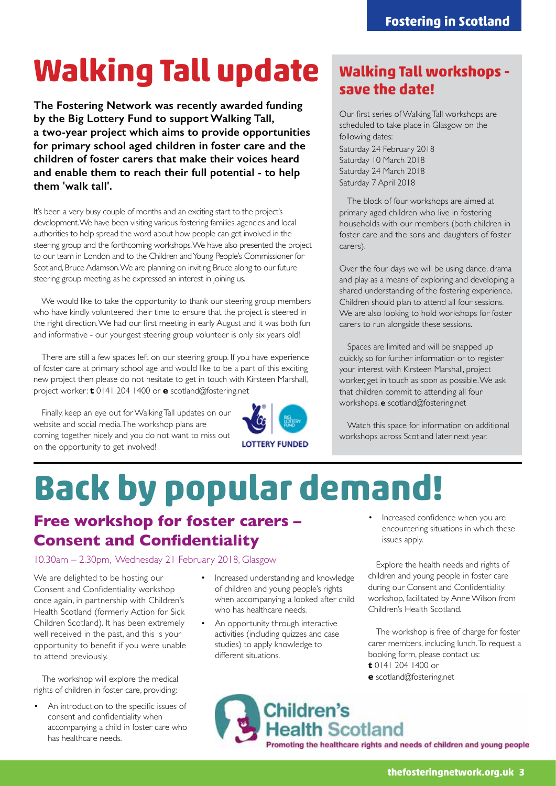# **Walking Tall update**

**The Fostering Network was recently awarded funding by the Big Lottery Fund to support Walking Tall, a two-year project which aims to provide opportunities for primary school aged children in foster care and the children of foster carers that make their voices heard and enable them to reach their full potential - to help them 'walk tall'.**

It's been a very busy couple of months and an exciting start to the project's development. We have been visiting various fostering families, agencies and local authorities to help spread the word about how people can get involved in the steering group and the forthcoming workshops. We have also presented the project to our team in London and to the Children and Young People's Commissioner for Scotland, Bruce Adamson. We are planning on inviting Bruce along to our future steering group meeting, as he expressed an interest in joining us.

We would like to take the opportunity to thank our steering group members who have kindly volunteered their time to ensure that the project is steered in the right direction. We had our first meeting in early August and it was both fun and informative - our youngest steering group volunteer is only six years old!

There are still a few spaces left on our steering group. If you have experience of foster care at primary school age and would like to be a part of this exciting new project then please do not hesitate to get in touch with Kirsteen Marshall, project worker: **t** 0141 204 1400 or **e** scotland@fostering.net

Finally, keep an eye out for Walking Tall updates on our website and social media. The workshop plans are coming together nicely and you do not want to miss out on the opportunity to get involved!



### **Walking Tall workshops save the date!**

Our first series of Walking Tall workshops are scheduled to take place in Glasgow on the following dates: Saturday 24 February 2018 Saturday 10 March 2018

Saturday 24 March 2018 Saturday 7 April 2018

The block of four workshops are aimed at primary aged children who live in fostering households with our members (both children in foster care and the sons and daughters of foster carers).

Over the four days we will be using dance, drama and play as a means of exploring and developing a shared understanding of the fostering experience. Children should plan to attend all four sessions. We are also looking to hold workshops for foster carers to run alongside these sessions.

Spaces are limited and will be snapped up quickly, so for further information or to register your interest with Kirsteen Marshall, project worker, get in touch as soon as possible. We ask that children commit to attending all four workshops. **e** scotland@fostering.net

Watch this space for information on additional workshops across Scotland later next year.

# **Back by popular demand!**

### **Free workshop for foster carers – Consent and Confidentiality**

10.30am – 2.30pm, Wednesday 21 February 2018, Glasgow

We are delighted to be hosting our Consent and Confidentiality workshop once again, in partnership with Children's Health Scotland (formerly Action for Sick Children Scotland). It has been extremely well received in the past, and this is your opportunity to benefit if you were unable to attend previously.

The workshop will explore the medical rights of children in foster care, providing:

• An introduction to the specific issues of consent and confidentiality when accompanying a child in foster care who has healthcare needs.

- Increased understanding and knowledge of children and young people's rights when accompanying a looked after child who has healthcare needs.
- An opportunity through interactive activities (including quizzes and case studies) to apply knowledge to different situations.

• Increased confidence when you are encountering situations in which these issues apply.

Explore the health needs and rights of children and young people in foster care during our Consent and Confidentiality workshop, facilitated by Anne Wilson from Children's Health Scotland.

The workshop is free of charge for foster carer members, including lunch. To request a booking form, please contact us: **t** 0141 204 1400 or

**e** scotland@fostering.net

Children's **Health Scotland** Promoting the healthcare rights and needs of children and young people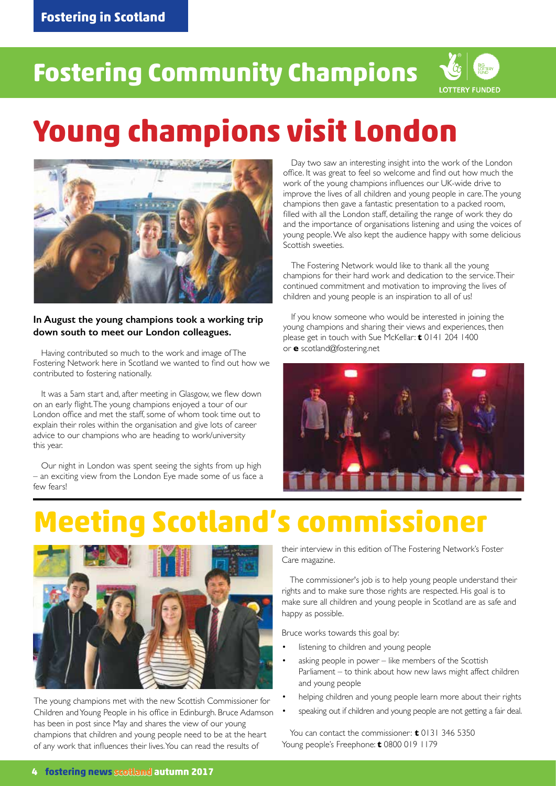### **Fostering in Scotland**

### **Fostering Community Champions**



## **Young champions visit London**



#### **In August the young champions took a working trip down south to meet our London colleagues.**

Having contributed so much to the work and image of The Fostering Network here in Scotland we wanted to find out how we contributed to fostering nationally.

It was a 5am start and, after meeting in Glasgow, we flew down on an early flight. The young champions enjoyed a tour of our London office and met the staff, some of whom took time out to explain their roles within the organisation and give lots of career advice to our champions who are heading to work/university this year.

Our night in London was spent seeing the sights from up high – an exciting view from the London Eye made some of us face a few fears!

Day two saw an interesting insight into the work of the London office. It was great to feel so welcome and find out how much the work of the young champions influences our UK-wide drive to improve the lives of all children and young people in care. The young champions then gave a fantastic presentation to a packed room, filled with all the London staff, detailing the range of work they do and the importance of organisations listening and using the voices of young people. We also kept the audience happy with some delicious Scottish sweeties.

The Fostering Network would like to thank all the young champions for their hard work and dedication to the service. Their continued commitment and motivation to improving the lives of children and young people is an inspiration to all of us!

If you know someone who would be interested in joining the young champions and sharing their views and experiences, then please get in touch with Sue McKellar: **t** 0141 204 1400 or **e** scotland@fostering.net



## **Meeting Scotland's commissioner**



The young champions met with the new Scottish Commissioner for Children and Young People in his office in Edinburgh. Bruce Adamson has been in post since May and shares the view of our young champions that children and young people need to be at the heart of any work that influences their lives. You can read the results of

their interview in this edition of The Fostering Network's Foster Care magazine.

The commissioner's job is to help young people understand their rights and to make sure those rights are respected. His goal is to make sure all children and young people in Scotland are as safe and happy as possible.

Bruce works towards this goal by:

- listening to children and young people
- asking people in power like members of the Scottish Parliament – to think about how new laws might affect children and young people
- helping children and young people learn more about their rights
- speaking out if children and young people are not getting a fair deal.

You can contact the commissioner: **t** 0131 346 5350 Young people's Freephone: **t** 0800 019 1179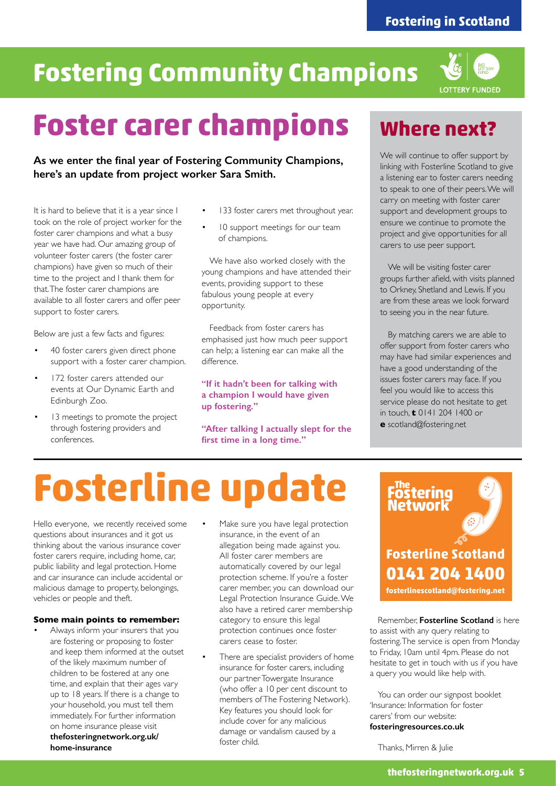### **Fostering Community Champions**



## **Foster carer champions**

**As we enter the final year of Fostering Community Champions, here's an update from project worker Sara Smith.**

It is hard to believe that it is a year since I took on the role of project worker for the foster carer champions and what a busy year we have had. Our amazing group of volunteer foster carers (the foster carer champions) have given so much of their time to the project and I thank them for that. The foster carer champions are available to all foster carers and offer peer support to foster carers.

Below are just a few facts and figures:

- 40 foster carers given direct phone support with a foster carer champion.
- 172 foster carers attended our events at Our Dynamic Earth and Edinburgh Zoo.
- 13 meetings to promote the project through fostering providers and conferences.
- 133 foster carers met throughout year.
- 10 support meetings for our team of champions.

We have also worked closely with the young champions and have attended their events, providing support to these fabulous young people at every opportunity.

Feedback from foster carers has emphasised just how much peer support can help; a listening ear can make all the difference.

#### **"If it hadn't been for talking with a champion I would have given up fostering."**

**"After talking I actually slept for the first time in a long time."**

### **Where next?**

We will continue to offer support by linking with Fosterline Scotland to give a listening ear to foster carers needing to speak to one of their peers. We will carry on meeting with foster carer support and development groups to ensure we continue to promote the project and give opportunities for all carers to use peer support.

We will be visiting foster carer groups further afield, with visits planned to Orkney, Shetland and Lewis. If you are from these areas we look forward to seeing you in the near future.

By matching carers we are able to offer support from foster carers who may have had similar experiences and have a good understanding of the issues foster carers may face. If you feel you would like to access this service please do not hesitate to get in touch, **t** 0141 204 1400 or

**e** scotland@fostering.net

# **Fosterline update**

Hello everyone, we recently received some questions about insurances and it got us thinking about the various insurance cover foster carers require, including home, car, public liability and legal protection. Home and car insurance can include accidental or malicious damage to property, belongings, vehicles or people and theft.

#### **Some main points to remember:**

- Always inform your insurers that you are fostering or proposing to foster and keep them informed at the outset of the likely maximum number of children to be fostered at any one time, and explain that their ages vary up to 18 years. If there is a change to your household, you must tell them immediately. For further information on home insurance please visit **thefosteringnetwork.org.uk/ home-insurance**
- Make sure you have legal protection insurance, in the event of an allegation being made against you. All foster carer members are automatically covered by our legal protection scheme. If you're a foster carer member, you can download our Legal Protection Insurance Guide. We also have a retired carer membership category to ensure this legal protection continues once foster carers cease to foster.
- There are specialist providers of home insurance for foster carers, including our partner Towergate Insurance (who offer a 10 per cent discount to members of The Fostering Network). Key features you should look for include cover for any malicious damage or vandalism caused by a foster child.



Remember, **Fosterline Scotland** is here to assist with any query relating to fostering. The service is open from Monday to Friday, 10am until 4pm. Please do not hesitate to get in touch with us if you have a query you would like help with.

You can order our signpost booklet 'Insurance: Information for foster carers' from our website: **fosteringresources.co.uk**

Thanks, Mirren & Julie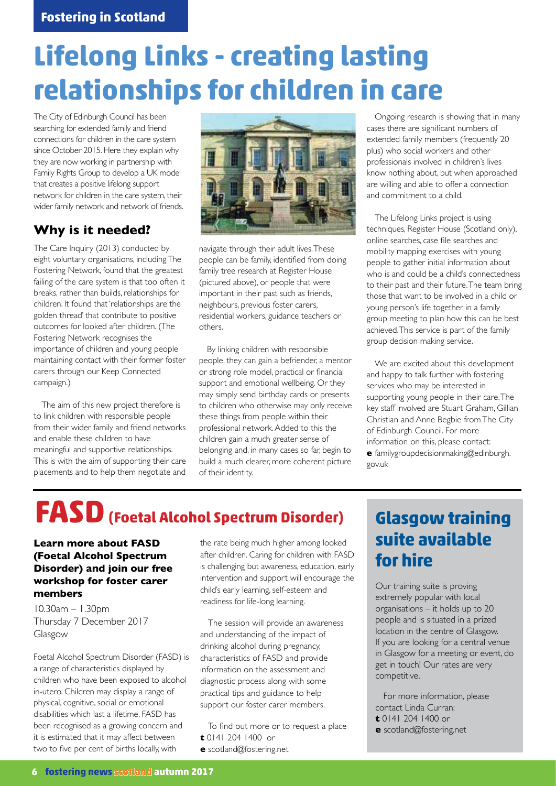### **Lifelong Links - creating lasting relationships for children in care**

The City of Edinburgh Council has been searching for extended family and friend connections for children in the care system since October 2015. Here they explain why they are now working in partnership with Family Rights Group to develop a UK model that creates a positive lifelong support network for children in the care system, their wider family network and network of friends.

### **Why is it needed?**

The Care Inquiry (2013) conducted by eight voluntary organisations, including The Fostering Network, found that the greatest failing of the care system is that too often it breaks, rather than builds, relationships for children. It found that 'relationships are the golden thread' that contribute to positive outcomes for looked after children. (The Fostering Network recognises the importance of children and young people maintaining contact with their former foster carers through our Keep Connected campaign.)

The aim of this new project therefore is to link children with responsible people from their wider family and friend networks and enable these children to have meaningful and supportive relationships. This is with the aim of supporting their care placements and to help them negotiate and



navigate through their adult lives. These people can be family, identified from doing family tree research at Register House (pictured above), or people that were important in their past such as friends, neighbours, previous foster carers, residential workers, guidance teachers or others.

By linking children with responsible people, they can gain a befriender, a mentor or strong role model, practical or financial support and emotional wellbeing. Or they may simply send birthday cards or presents to children who otherwise may only receive these things from people within their professional network. Added to this the children gain a much greater sense of belonging and, in many cases so far, begin to build a much clearer, more coherent picture of their identity.

Ongoing research is showing that in many cases there are significant numbers of extended family members (frequently 20 plus) who social workers and other professionals involved in children's lives know nothing about, but when approached are willing and able to offer a connection and commitment to a child.

The Lifelong Links project is using techniques, Register House (Scotland only), online searches, case file searches and mobility mapping exercises with young people to gather initial information about who is and could be a child's connectedness to their past and their future. The team bring those that want to be involved in a child or young person's life together in a family group meeting to plan how this can be best achieved. This service is part of the family group decision making service.

We are excited about this development and happy to talk further with fostering services who may be interested in supporting young people in their care. The key staff involved are Stuart Graham, Gillian Christian and Anne Begbie from The City of Edinburgh Council. For more information on this, please contact: **e** familygroupdecisionmaking@edinburgh. gov.uk

### **FASD(Foetal Alcohol Spectrum Disorder)**

### **Learn more about FASD (Foetal Alcohol Spectrum Disorder) and join our free workshop for foster carer members**

10.30am – 1.30pm Thursday 7 December 2017 Glasgow

Foetal Alcohol Spectrum Disorder (FASD) is a range of characteristics displayed by children who have been exposed to alcohol in-utero. Children may display a range of physical, cognitive, social or emotional disabilities which last a lifetime. FASD has been recognised as a growing concern and it is estimated that it may affect between two to five per cent of births locally, with

the rate being much higher among looked after children. Caring for children with FASD is challenging but awareness, education, early intervention and support will encourage the child's early learning, self-esteem and readiness for life-long learning.

The session will provide an awareness and understanding of the impact of drinking alcohol during pregnancy, characteristics of FASD and provide information on the assessment and diagnostic process along with some practical tips and guidance to help support our foster carer members.

To find out more or to request a place

- **t** 0141 204 1400 or
- **e** scotland@fostering.net

### **Glasgow training suite available for hire**

Our training suite is proving extremely popular with local organisations – it holds up to 20 people and is situated in a prized location in the centre of Glasgow. If you are looking for a central venue in Glasgow for a meeting or event, do get in touch! Our rates are very competitive.

For more information, please contact Linda Curran:

- **t** 0141 204 1400 or
- **e** scotland@fostering.net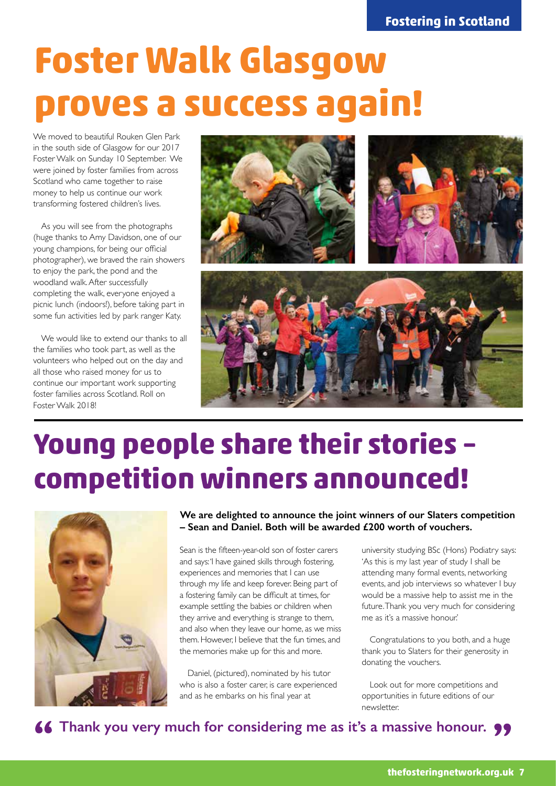# **Foster Walk Glasgow proves a success again!**

We moved to beautiful Rouken Glen Park in the south side of Glasgow for our 2017 Foster Walk on Sunday 10 September. We were joined by foster families from across Scotland who came together to raise money to help us continue our work transforming fostered children's lives.

As you will see from the photographs (huge thanks to Amy Davidson, one of our young champions, for being our official photographer), we braved the rain showers to enjoy the park, the pond and the woodland walk. After successfully completing the walk, everyone enjoyed a picnic lunch (indoors!), before taking part in some fun activities led by park ranger Katy.

We would like to extend our thanks to all the families who took part, as well as the volunteers who helped out on the day and all those who raised money for us to continue our important work supporting foster families across Scotland. Roll on Foster Walk 2018!



## **Young people share their stories – competition winners announced!**



**We are delighted to announce the joint winners of our Slaters competition – Sean and Daniel. Both will be awarded £200 worth of vouchers.** 

Sean is the fifteen-year-old son of foster carers and says: 'I have gained skills through fostering, experiences and memories that I can use through my life and keep forever. Being part of a fostering family can be difficult at times, for example settling the babies or children when they arrive and everything is strange to them, and also when they leave our home, as we miss them. However, I believe that the fun times, and the memories make up for this and more.

Daniel, (pictured), nominated by his tutor who is also a foster carer, is care experienced and as he embarks on his final year at

university studying BSc (Hons) Podiatry says: 'As this is my last year of study I shall be attending many formal events, networking events, and job interviews so whatever I buy would be a massive help to assist me in the future. Thank you very much for considering me as it's a massive honour.'

Congratulations to you both, and a huge thank you to Slaters for their generosity in donating the vouchers.

Look out for more competitions and opportunities in future editions of our newsletter.

**16 Thank you very much for considering me as it's a massive honour. 99**